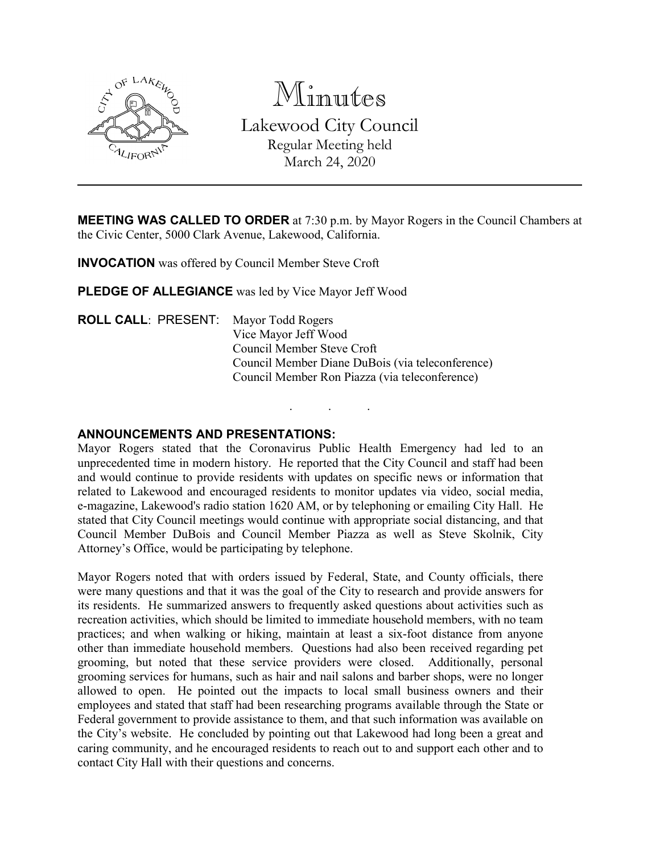

Minutes Lakewood City Council Regular Meeting held March 24, 2020

**MEETING WAS CALLED TO ORDER** at 7:30 p.m. by Mayor Rogers in the Council Chambers at the Civic Center, 5000 Clark Avenue, Lakewood, California.

. . .

**INVOCATION** was offered by Council Member Steve Croft

**PLEDGE OF ALLEGIANCE** was led by Vice Mayor Jeff Wood

**ROLL CALL**: PRESENT: Mayor Todd Rogers Vice Mayor Jeff Wood Council Member Steve Croft Council Member Diane DuBois (via teleconference) Council Member Ron Piazza (via teleconference)

### **ANNOUNCEMENTS AND PRESENTATIONS:**

Mayor Rogers stated that the Coronavirus Public Health Emergency had led to an unprecedented time in modern history. He reported that the City Council and staff had been and would continue to provide residents with updates on specific news or information that related to Lakewood and encouraged residents to monitor updates via video, social media, e-magazine, Lakewood's radio station 1620 AM, or by telephoning or emailing City Hall. He stated that City Council meetings would continue with appropriate social distancing, and that Council Member DuBois and Council Member Piazza as well as Steve Skolnik, City Attorney's Office, would be participating by telephone.

Mayor Rogers noted that with orders issued by Federal, State, and County officials, there were many questions and that it was the goal of the City to research and provide answers for its residents. He summarized answers to frequently asked questions about activities such as recreation activities, which should be limited to immediate household members, with no team practices; and when walking or hiking, maintain at least a six-foot distance from anyone other than immediate household members. Questions had also been received regarding pet grooming, but noted that these service providers were closed. Additionally, personal grooming services for humans, such as hair and nail salons and barber shops, were no longer allowed to open. He pointed out the impacts to local small business owners and their employees and stated that staff had been researching programs available through the State or Federal government to provide assistance to them, and that such information was available on the City's website. He concluded by pointing out that Lakewood had long been a great and caring community, and he encouraged residents to reach out to and support each other and to contact City Hall with their questions and concerns.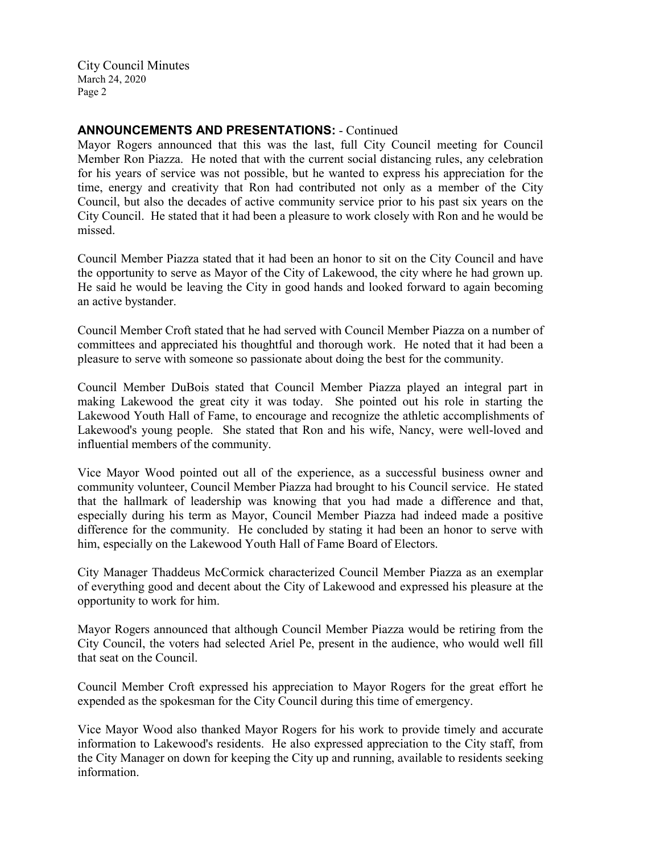# **ANNOUNCEMENTS AND PRESENTATIONS:** - Continued

Mayor Rogers announced that this was the last, full City Council meeting for Council Member Ron Piazza. He noted that with the current social distancing rules, any celebration for his years of service was not possible, but he wanted to express his appreciation for the time, energy and creativity that Ron had contributed not only as a member of the City Council, but also the decades of active community service prior to his past six years on the City Council. He stated that it had been a pleasure to work closely with Ron and he would be missed.

Council Member Piazza stated that it had been an honor to sit on the City Council and have the opportunity to serve as Mayor of the City of Lakewood, the city where he had grown up. He said he would be leaving the City in good hands and looked forward to again becoming an active bystander.

Council Member Croft stated that he had served with Council Member Piazza on a number of committees and appreciated his thoughtful and thorough work. He noted that it had been a pleasure to serve with someone so passionate about doing the best for the community.

Council Member DuBois stated that Council Member Piazza played an integral part in making Lakewood the great city it was today. She pointed out his role in starting the Lakewood Youth Hall of Fame, to encourage and recognize the athletic accomplishments of Lakewood's young people. She stated that Ron and his wife, Nancy, were well-loved and influential members of the community.

Vice Mayor Wood pointed out all of the experience, as a successful business owner and community volunteer, Council Member Piazza had brought to his Council service. He stated that the hallmark of leadership was knowing that you had made a difference and that, especially during his term as Mayor, Council Member Piazza had indeed made a positive difference for the community. He concluded by stating it had been an honor to serve with him, especially on the Lakewood Youth Hall of Fame Board of Electors.

City Manager Thaddeus McCormick characterized Council Member Piazza as an exemplar of everything good and decent about the City of Lakewood and expressed his pleasure at the opportunity to work for him.

Mayor Rogers announced that although Council Member Piazza would be retiring from the City Council, the voters had selected Ariel Pe, present in the audience, who would well fill that seat on the Council.

Council Member Croft expressed his appreciation to Mayor Rogers for the great effort he expended as the spokesman for the City Council during this time of emergency.

Vice Mayor Wood also thanked Mayor Rogers for his work to provide timely and accurate information to Lakewood's residents. He also expressed appreciation to the City staff, from the City Manager on down for keeping the City up and running, available to residents seeking information.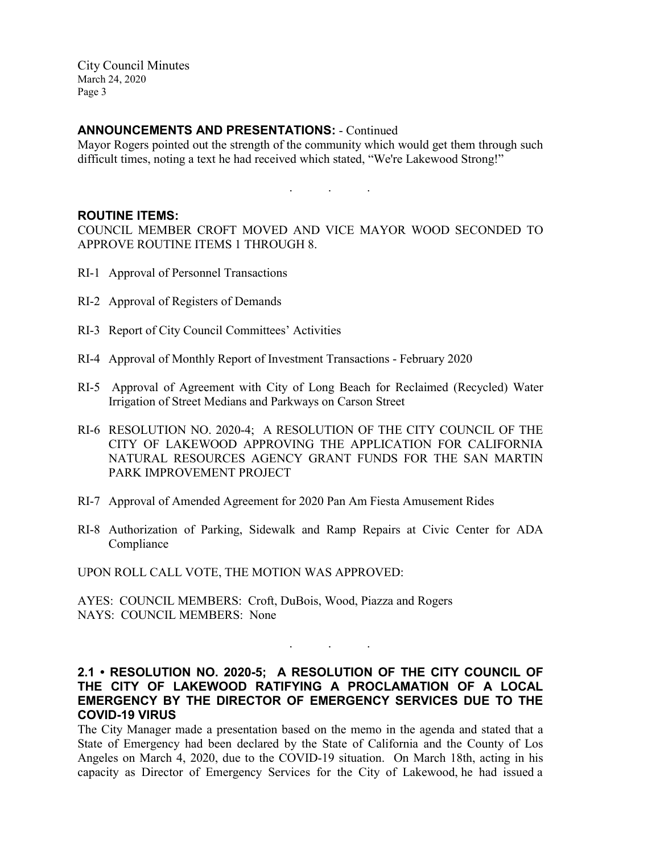#### **ANNOUNCEMENTS AND PRESENTATIONS:** - Continued

Mayor Rogers pointed out the strength of the community which would get them through such difficult times, noting a text he had received which stated, "We're Lakewood Strong!"

. . .

#### **ROUTINE ITEMS:**

COUNCIL MEMBER CROFT MOVED AND VICE MAYOR WOOD SECONDED TO APPROVE ROUTINE ITEMS 1 THROUGH 8.

- RI-1 Approval of Personnel Transactions
- RI-2 Approval of Registers of Demands
- RI-3 Report of City Council Committees' Activities
- RI-4 Approval of Monthly Report of Investment Transactions February 2020
- RI-5 Approval of Agreement with City of Long Beach for Reclaimed (Recycled) Water Irrigation of Street Medians and Parkways on Carson Street
- RI-6 RESOLUTION NO. 2020-4; A RESOLUTION OF THE CITY COUNCIL OF THE CITY OF LAKEWOOD APPROVING THE APPLICATION FOR CALIFORNIA NATURAL RESOURCES AGENCY GRANT FUNDS FOR THE SAN MARTIN PARK IMPROVEMENT PROJECT
- RI-7 Approval of Amended Agreement for 2020 Pan Am Fiesta Amusement Rides
- RI-8 Authorization of Parking, Sidewalk and Ramp Repairs at Civic Center for ADA Compliance

UPON ROLL CALL VOTE, THE MOTION WAS APPROVED:

AYES: COUNCIL MEMBERS: Croft, DuBois, Wood, Piazza and Rogers NAYS: COUNCIL MEMBERS: None

# **2.1 • RESOLUTION NO. 2020-5; A RESOLUTION OF THE CITY COUNCIL OF THE CITY OF LAKEWOOD RATIFYING A PROCLAMATION OF A LOCAL EMERGENCY BY THE DIRECTOR OF EMERGENCY SERVICES DUE TO THE COVID-19 VIRUS**

. . .

The City Manager made a presentation based on the memo in the agenda and stated that a State of Emergency had been declared by the State of California and the County of Los Angeles on March 4, 2020, due to the COVID-19 situation. On March 18th, acting in his capacity as Director of Emergency Services for the City of Lakewood, he had issued a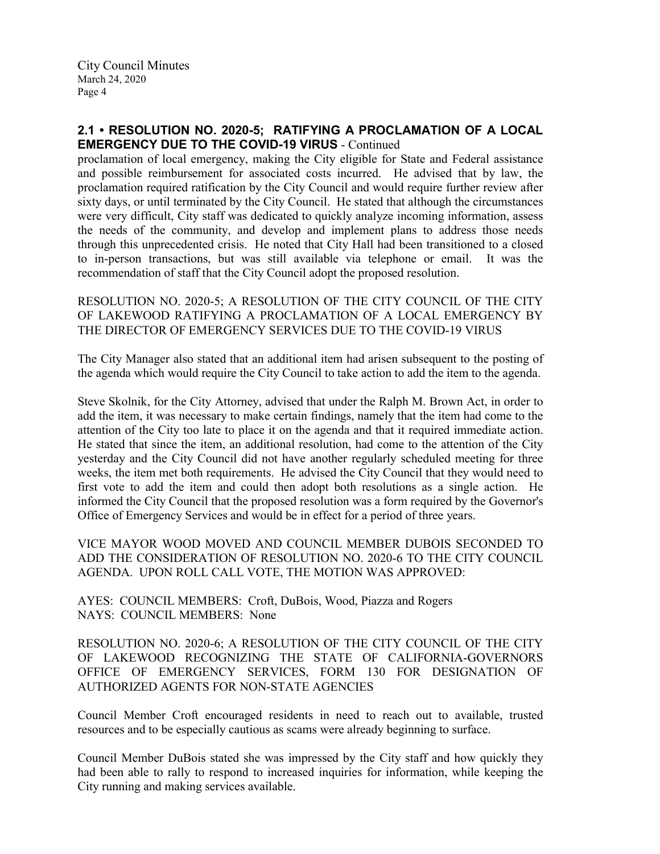# **2.1 • RESOLUTION NO. 2020-5; RATIFYING A PROCLAMATION OF A LOCAL EMERGENCY DUE TO THE COVID-19 VIRUS** - Continued

proclamation of local emergency, making the City eligible for State and Federal assistance and possible reimbursement for associated costs incurred. He advised that by law, the proclamation required ratification by the City Council and would require further review after sixty days, or until terminated by the City Council. He stated that although the circumstances were very difficult, City staff was dedicated to quickly analyze incoming information, assess the needs of the community, and develop and implement plans to address those needs through this unprecedented crisis. He noted that City Hall had been transitioned to a closed to in-person transactions, but was still available via telephone or email. It was the recommendation of staff that the City Council adopt the proposed resolution.

RESOLUTION NO. 2020-5; A RESOLUTION OF THE CITY COUNCIL OF THE CITY OF LAKEWOOD RATIFYING A PROCLAMATION OF A LOCAL EMERGENCY BY THE DIRECTOR OF EMERGENCY SERVICES DUE TO THE COVID-19 VIRUS

The City Manager also stated that an additional item had arisen subsequent to the posting of the agenda which would require the City Council to take action to add the item to the agenda.

Steve Skolnik, for the City Attorney, advised that under the Ralph M. Brown Act, in order to add the item, it was necessary to make certain findings, namely that the item had come to the attention of the City too late to place it on the agenda and that it required immediate action. He stated that since the item, an additional resolution, had come to the attention of the City yesterday and the City Council did not have another regularly scheduled meeting for three weeks, the item met both requirements. He advised the City Council that they would need to first vote to add the item and could then adopt both resolutions as a single action. He informed the City Council that the proposed resolution was a form required by the Governor's Office of Emergency Services and would be in effect for a period of three years.

VICE MAYOR WOOD MOVED AND COUNCIL MEMBER DUBOIS SECONDED TO ADD THE CONSIDERATION OF RESOLUTION NO. 2020-6 TO THE CITY COUNCIL AGENDA. UPON ROLL CALL VOTE, THE MOTION WAS APPROVED:

AYES: COUNCIL MEMBERS: Croft, DuBois, Wood, Piazza and Rogers NAYS: COUNCIL MEMBERS: None

RESOLUTION NO. 2020-6; A RESOLUTION OF THE CITY COUNCIL OF THE CITY OF LAKEWOOD RECOGNIZING THE STATE OF CALIFORNIA-GOVERNORS OFFICE OF EMERGENCY SERVICES, FORM 130 FOR DESIGNATION OF AUTHORIZED AGENTS FOR NON-STATE AGENCIES

Council Member Croft encouraged residents in need to reach out to available, trusted resources and to be especially cautious as scams were already beginning to surface.

Council Member DuBois stated she was impressed by the City staff and how quickly they had been able to rally to respond to increased inquiries for information, while keeping the City running and making services available.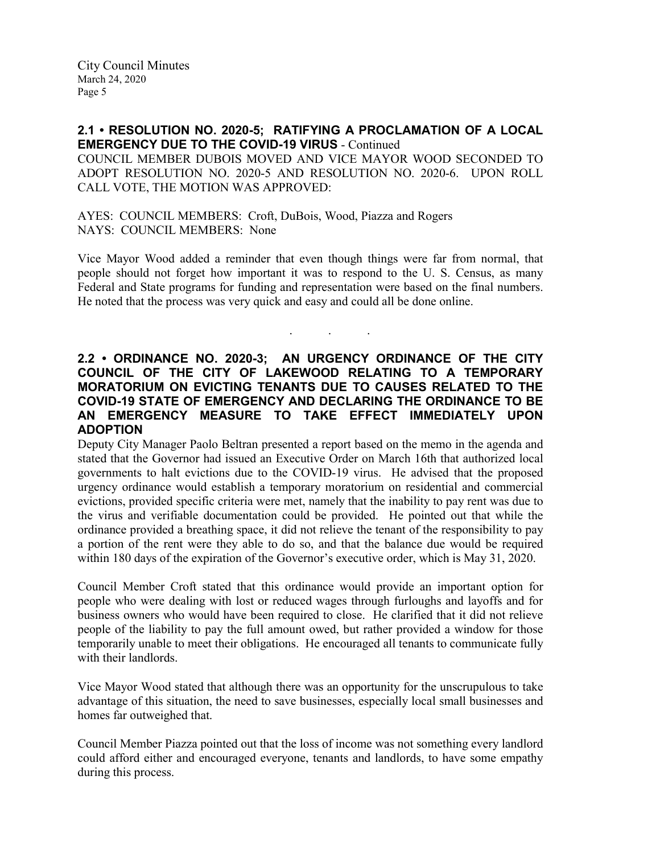**2.1 • RESOLUTION NO. 2020-5; RATIFYING A PROCLAMATION OF A LOCAL EMERGENCY DUE TO THE COVID-19 VIRUS** - Continued

COUNCIL MEMBER DUBOIS MOVED AND VICE MAYOR WOOD SECONDED TO ADOPT RESOLUTION NO. 2020-5 AND RESOLUTION NO. 2020-6. UPON ROLL CALL VOTE, THE MOTION WAS APPROVED:

AYES: COUNCIL MEMBERS: Croft, DuBois, Wood, Piazza and Rogers NAYS: COUNCIL MEMBERS: None

Vice Mayor Wood added a reminder that even though things were far from normal, that people should not forget how important it was to respond to the U. S. Census, as many Federal and State programs for funding and representation were based on the final numbers. He noted that the process was very quick and easy and could all be done online.

. . .

## **2.2 • ORDINANCE NO. 2020-3; AN URGENCY ORDINANCE OF THE CITY COUNCIL OF THE CITY OF LAKEWOOD RELATING TO A TEMPORARY MORATORIUM ON EVICTING TENANTS DUE TO CAUSES RELATED TO THE COVID-19 STATE OF EMERGENCY AND DECLARING THE ORDINANCE TO BE AN EMERGENCY MEASURE TO TAKE EFFECT IMMEDIATELY UPON ADOPTION**

Deputy City Manager Paolo Beltran presented a report based on the memo in the agenda and stated that the Governor had issued an Executive Order on March 16th that authorized local governments to halt evictions due to the COVID-19 virus. He advised that the proposed urgency ordinance would establish a temporary moratorium on residential and commercial evictions, provided specific criteria were met, namely that the inability to pay rent was due to the virus and verifiable documentation could be provided. He pointed out that while the ordinance provided a breathing space, it did not relieve the tenant of the responsibility to pay a portion of the rent were they able to do so, and that the balance due would be required within 180 days of the expiration of the Governor's executive order, which is May 31, 2020.

Council Member Croft stated that this ordinance would provide an important option for people who were dealing with lost or reduced wages through furloughs and layoffs and for business owners who would have been required to close. He clarified that it did not relieve people of the liability to pay the full amount owed, but rather provided a window for those temporarily unable to meet their obligations. He encouraged all tenants to communicate fully with their landlords.

Vice Mayor Wood stated that although there was an opportunity for the unscrupulous to take advantage of this situation, the need to save businesses, especially local small businesses and homes far outweighed that.

Council Member Piazza pointed out that the loss of income was not something every landlord could afford either and encouraged everyone, tenants and landlords, to have some empathy during this process.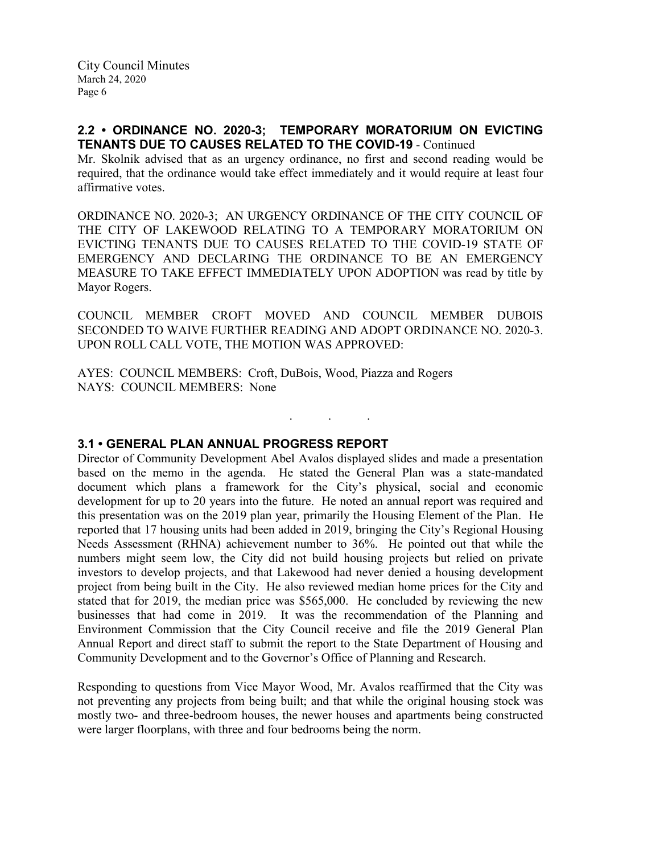### **2.2 • ORDINANCE NO. 2020-3; TEMPORARY MORATORIUM ON EVICTING TENANTS DUE TO CAUSES RELATED TO THE COVID-19** - Continued

Mr. Skolnik advised that as an urgency ordinance, no first and second reading would be required, that the ordinance would take effect immediately and it would require at least four affirmative votes.

ORDINANCE NO. 2020-3; AN URGENCY ORDINANCE OF THE CITY COUNCIL OF THE CITY OF LAKEWOOD RELATING TO A TEMPORARY MORATORIUM ON EVICTING TENANTS DUE TO CAUSES RELATED TO THE COVID-19 STATE OF EMERGENCY AND DECLARING THE ORDINANCE TO BE AN EMERGENCY MEASURE TO TAKE EFFECT IMMEDIATELY UPON ADOPTION was read by title by Mayor Rogers.

COUNCIL MEMBER CROFT MOVED AND COUNCIL MEMBER DUBOIS SECONDED TO WAIVE FURTHER READING AND ADOPT ORDINANCE NO. 2020-3. UPON ROLL CALL VOTE, THE MOTION WAS APPROVED:

. . .

AYES: COUNCIL MEMBERS: Croft, DuBois, Wood, Piazza and Rogers NAYS: COUNCIL MEMBERS: None

#### **3.1 • GENERAL PLAN ANNUAL PROGRESS REPORT**

Director of Community Development Abel Avalos displayed slides and made a presentation based on the memo in the agenda. He stated the General Plan was a state-mandated document which plans a framework for the City's physical, social and economic development for up to 20 years into the future. He noted an annual report was required and this presentation was on the 2019 plan year, primarily the Housing Element of the Plan. He reported that 17 housing units had been added in 2019, bringing the City's Regional Housing Needs Assessment (RHNA) achievement number to 36%. He pointed out that while the numbers might seem low, the City did not build housing projects but relied on private investors to develop projects, and that Lakewood had never denied a housing development project from being built in the City. He also reviewed median home prices for the City and stated that for 2019, the median price was \$565,000. He concluded by reviewing the new businesses that had come in 2019. It was the recommendation of the Planning and Environment Commission that the City Council receive and file the 2019 General Plan Annual Report and direct staff to submit the report to the State Department of Housing and Community Development and to the Governor's Office of Planning and Research.

Responding to questions from Vice Mayor Wood, Mr. Avalos reaffirmed that the City was not preventing any projects from being built; and that while the original housing stock was mostly two- and three-bedroom houses, the newer houses and apartments being constructed were larger floorplans, with three and four bedrooms being the norm.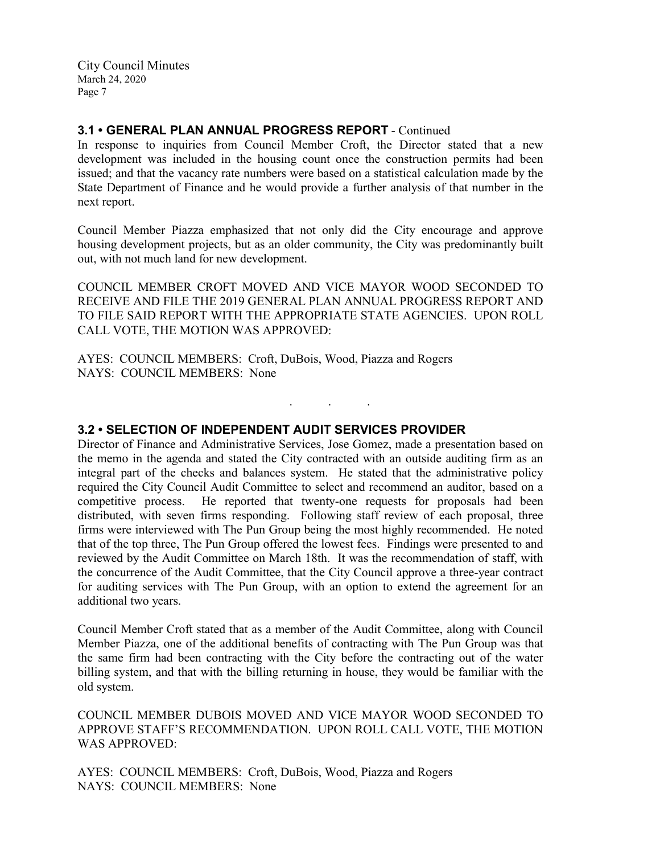### **3.1 • GENERAL PLAN ANNUAL PROGRESS REPORT** - Continued

In response to inquiries from Council Member Croft, the Director stated that a new development was included in the housing count once the construction permits had been issued; and that the vacancy rate numbers were based on a statistical calculation made by the State Department of Finance and he would provide a further analysis of that number in the next report.

Council Member Piazza emphasized that not only did the City encourage and approve housing development projects, but as an older community, the City was predominantly built out, with not much land for new development.

COUNCIL MEMBER CROFT MOVED AND VICE MAYOR WOOD SECONDED TO RECEIVE AND FILE THE 2019 GENERAL PLAN ANNUAL PROGRESS REPORT AND TO FILE SAID REPORT WITH THE APPROPRIATE STATE AGENCIES. UPON ROLL CALL VOTE, THE MOTION WAS APPROVED:

. . .

AYES: COUNCIL MEMBERS: Croft, DuBois, Wood, Piazza and Rogers NAYS: COUNCIL MEMBERS: None

### **3.2 • SELECTION OF INDEPENDENT AUDIT SERVICES PROVIDER**

Director of Finance and Administrative Services, Jose Gomez, made a presentation based on the memo in the agenda and stated the City contracted with an outside auditing firm as an integral part of the checks and balances system. He stated that the administrative policy required the City Council Audit Committee to select and recommend an auditor, based on a competitive process. He reported that twenty-one requests for proposals had been distributed, with seven firms responding. Following staff review of each proposal, three firms were interviewed with The Pun Group being the most highly recommended. He noted that of the top three, The Pun Group offered the lowest fees. Findings were presented to and reviewed by the Audit Committee on March 18th. It was the recommendation of staff, with the concurrence of the Audit Committee, that the City Council approve a three-year contract for auditing services with The Pun Group, with an option to extend the agreement for an additional two years.

Council Member Croft stated that as a member of the Audit Committee, along with Council Member Piazza, one of the additional benefits of contracting with The Pun Group was that the same firm had been contracting with the City before the contracting out of the water billing system, and that with the billing returning in house, they would be familiar with the old system.

COUNCIL MEMBER DUBOIS MOVED AND VICE MAYOR WOOD SECONDED TO APPROVE STAFF'S RECOMMENDATION. UPON ROLL CALL VOTE, THE MOTION WAS APPROVED:

AYES: COUNCIL MEMBERS: Croft, DuBois, Wood, Piazza and Rogers NAYS: COUNCIL MEMBERS: None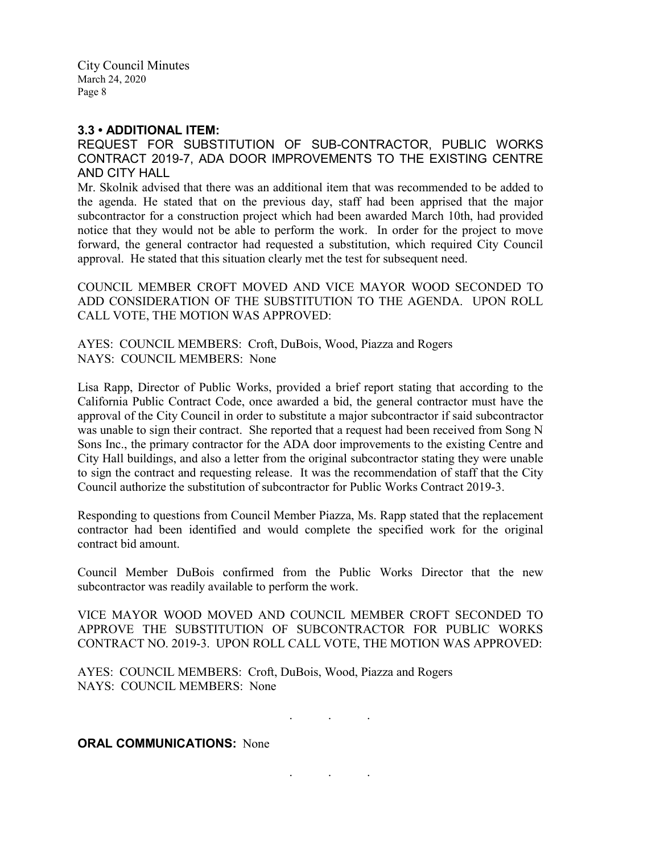#### **3.3 • ADDITIONAL ITEM:**

REQUEST FOR SUBSTITUTION OF SUB-CONTRACTOR, PUBLIC WORKS CONTRACT 2019-7, ADA DOOR IMPROVEMENTS TO THE EXISTING CENTRE AND CITY HALL

Mr. Skolnik advised that there was an additional item that was recommended to be added to the agenda. He stated that on the previous day, staff had been apprised that the major subcontractor for a construction project which had been awarded March 10th, had provided notice that they would not be able to perform the work. In order for the project to move forward, the general contractor had requested a substitution, which required City Council approval. He stated that this situation clearly met the test for subsequent need.

COUNCIL MEMBER CROFT MOVED AND VICE MAYOR WOOD SECONDED TO ADD CONSIDERATION OF THE SUBSTITUTION TO THE AGENDA. UPON ROLL CALL VOTE, THE MOTION WAS APPROVED:

AYES: COUNCIL MEMBERS: Croft, DuBois, Wood, Piazza and Rogers NAYS: COUNCIL MEMBERS: None

Lisa Rapp, Director of Public Works, provided a brief report stating that according to the California Public Contract Code, once awarded a bid, the general contractor must have the approval of the City Council in order to substitute a major subcontractor if said subcontractor was unable to sign their contract. She reported that a request had been received from Song N Sons Inc., the primary contractor for the ADA door improvements to the existing Centre and City Hall buildings, and also a letter from the original subcontractor stating they were unable to sign the contract and requesting release. It was the recommendation of staff that the City Council authorize the substitution of subcontractor for Public Works Contract 2019-3.

Responding to questions from Council Member Piazza, Ms. Rapp stated that the replacement contractor had been identified and would complete the specified work for the original contract bid amount.

Council Member DuBois confirmed from the Public Works Director that the new subcontractor was readily available to perform the work.

VICE MAYOR WOOD MOVED AND COUNCIL MEMBER CROFT SECONDED TO APPROVE THE SUBSTITUTION OF SUBCONTRACTOR FOR PUBLIC WORKS CONTRACT NO. 2019-3. UPON ROLL CALL VOTE, THE MOTION WAS APPROVED:

AYES: COUNCIL MEMBERS: Croft, DuBois, Wood, Piazza and Rogers NAYS: COUNCIL MEMBERS: None

. . .

. . .

**ORAL COMMUNICATIONS: None**